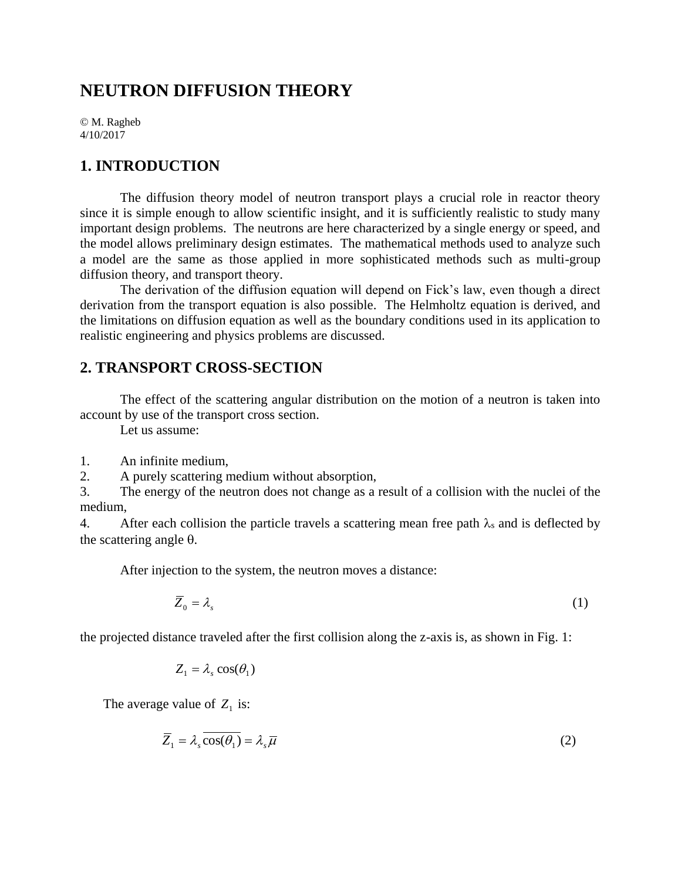# **NEUTRON DIFFUSION THEORY**

© M. Ragheb 4/10/2017

### **1. INTRODUCTION**

The diffusion theory model of neutron transport plays a crucial role in reactor theory since it is simple enough to allow scientific insight, and it is sufficiently realistic to study many important design problems. The neutrons are here characterized by a single energy or speed, and the model allows preliminary design estimates. The mathematical methods used to analyze such a model are the same as those applied in more sophisticated methods such as multi-group diffusion theory, and transport theory.

The derivation of the diffusion equation will depend on Fick's law, even though a direct derivation from the transport equation is also possible. The Helmholtz equation is derived, and the limitations on diffusion equation as well as the boundary conditions used in its application to realistic engineering and physics problems are discussed.

## **2. TRANSPORT CROSS-SECTION**

The effect of the scattering angular distribution on the motion of a neutron is taken into account by use of the transport cross section.

Let us assume:

1. An infinite medium,

2. A purely scattering medium without absorption,

3. The energy of the neutron does not change as a result of a collision with the nuclei of the medium,

4. After each collision the particle travels a scattering mean free path  $\lambda_s$  and is deflected by the scattering angle  $\theta$ .

After injection to the system, the neutron moves a distance:

$$
\overline{Z}_0 = \lambda_s \tag{1}
$$

the projected distance traveled after the first collision along the z-axis is, as shown in Fig. 1:

$$
Z_1 = \lambda_s \cos(\theta_1)
$$

The average value of  $Z_1$  is:

$$
\overline{Z}_1 = \lambda_s \cos(\theta_1) = \lambda_s \overline{\mu}
$$
 (2)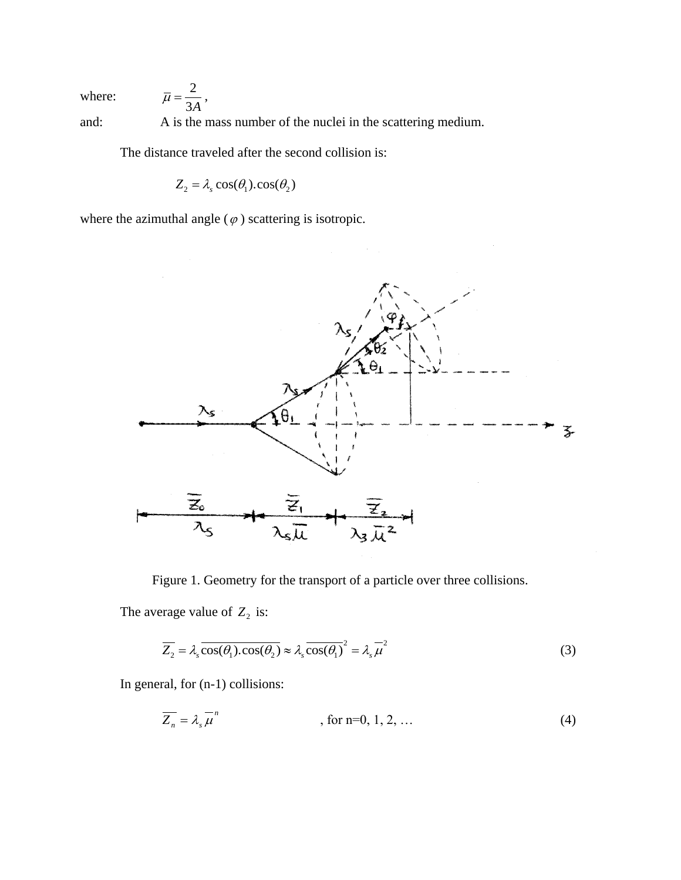where:

and: A is the mass number of the nuclei in the scattering medium.

The distance traveled after the second collision is:

 $Z_2 = \lambda_s \cos(\theta_1) \cdot \cos(\theta_2)$ 

where the azimuthal angle  $(\varphi)$  scattering is isotropic.

2 3*A*  $\overline{\mu}=\frac{2}{\sigma}$ ,



Figure 1. Geometry for the transport of a particle over three collisions.

The average value of  $Z_2$  is:

$$
\overline{Z_2} = \lambda_s \overline{\cos(\theta_1) \cdot \cos(\theta_2)} \approx \lambda_s \overline{\cos(\theta_1)}^2 = \lambda_s \overline{\mu}^2
$$
 (3)

In general, for (n-1) collisions:

$$
\overline{Z_n} = \lambda_s \overline{\mu}^n \qquad \qquad , \text{ for n=0, 1, 2, ...} \tag{4}
$$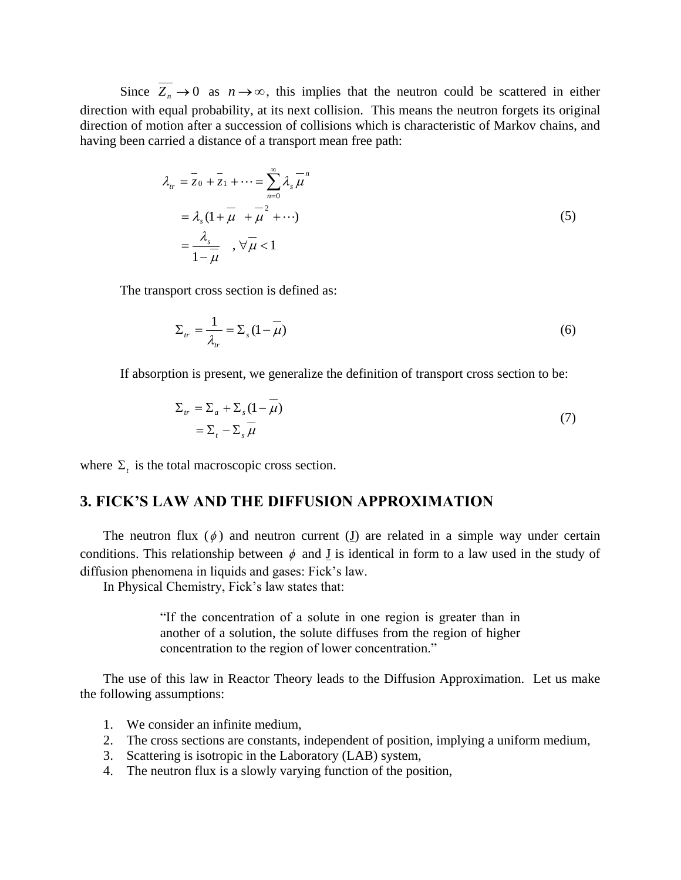Since  $Z_n \to 0$  as  $n \to \infty$ , this implies that the neutron could be scattered in either direction with equal probability, at its next collision. This means the neutron forgets its original direction of motion after a succession of collisions which is characteristic of Markov chains, and having been carried a distance of a transport mean free path:

$$
\lambda_{tr} = \overline{z}_0 + \overline{z}_1 + \dots = \sum_{n=0}^{\infty} \lambda_s \overline{\mu}^n
$$
  
=  $\lambda_s (1 + \overline{\mu} + \overline{\mu}^2 + \dots)$   
=  $\frac{\lambda_s}{1 - \overline{\mu}}$ ,  $\forall \overline{\mu} < 1$  (5)

The transport cross section is defined as:

$$
\Sigma_{tr} = \frac{1}{\lambda_{tr}} = \Sigma_{s} (1 - \overline{\mu})
$$
\n(6)

If absorption is present, we generalize the definition of transport cross section to be:

$$
\Sigma_{tr} = \Sigma_a + \Sigma_s (1 - \mu)
$$
  
=  $\Sigma_t - \Sigma_s \overline{\mu}$  (7)

where  $\Sigma_t$  is the total macroscopic cross section.

### **3. FICK'S LAW AND THE DIFFUSION APPROXIMATION**

The neutron flux  $(\phi)$  and neutron current (I) are related in a simple way under certain conditions. This relationship between  $\phi$  and **J** is identical in form to a law used in the study of diffusion phenomena in liquids and gases: Fick's law.

In Physical Chemistry, Fick's law states that:

"If the concentration of a solute in one region is greater than in another of a solution, the solute diffuses from the region of higher concentration to the region of lower concentration."

The use of this law in Reactor Theory leads to the Diffusion Approximation. Let us make the following assumptions:

- 1. We consider an infinite medium,
- 2. The cross sections are constants, independent of position, implying a uniform medium,
- 3. Scattering is isotropic in the Laboratory (LAB) system,
- 4. The neutron flux is a slowly varying function of the position,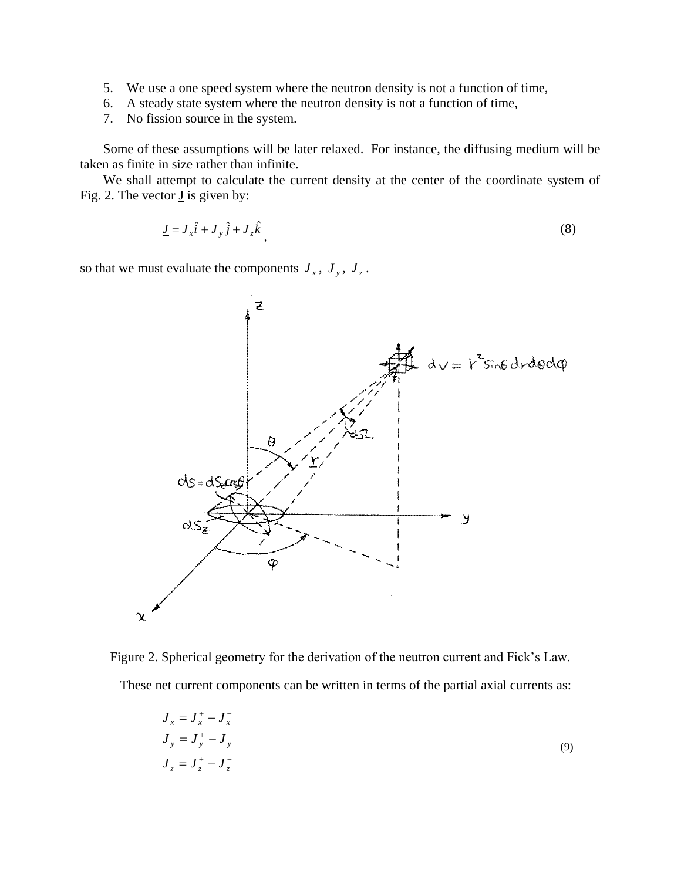- 5. We use a one speed system where the neutron density is not a function of time,
- 6. A steady state system where the neutron density is not a function of time,
- 7. No fission source in the system.

Some of these assumptions will be later relaxed. For instance, the diffusing medium will be taken as finite in size rather than infinite.

We shall attempt to calculate the current density at the center of the coordinate system of Fig. 2. The vector  $\underline{J}$  is given by:

$$
\underline{J} = J_x \hat{i} + J_y \hat{j} + J_z \hat{k}
$$
\n(8)

so that we must evaluate the components  $J_x$ ,  $J_y$ ,  $J_z$ .



Figure 2. Spherical geometry for the derivation of the neutron current and Fick's Law. These net current components can be written in terms of the partial axial currents as:

$$
J_x = J_x^+ - J_x^-
$$
  
\n
$$
J_y = J_y^+ - J_y^-
$$
  
\n
$$
J_z = J_z^+ - J_z^-
$$
\n(9)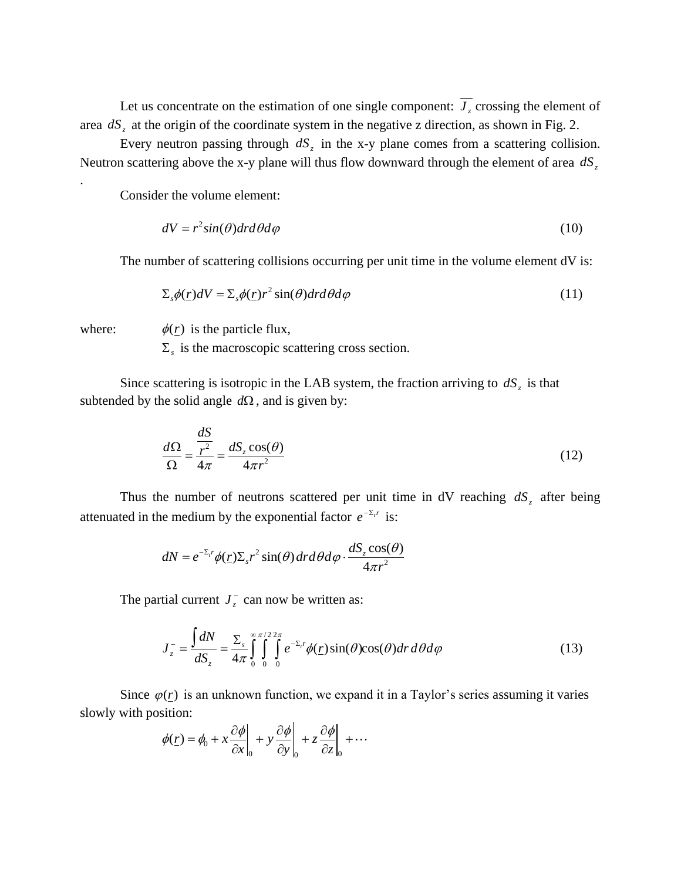Let us concentrate on the estimation of one single component:  $J<sub>z</sub>$  crossing the element of area  $dS<sub>z</sub>$  at the origin of the coordinate system in the negative z direction, as shown in Fig. 2.

Every neutron passing through  $dS_z$  in the x-y plane comes from a scattering collision. Neutron scattering above the x-y plane will thus flow downward through the element of area *dS<sup>z</sup>*

Consider the volume element:

$$
dV = r^2 \sin(\theta) dr d\theta d\varphi \tag{10}
$$

The number of scattering collisions occurring per unit time in the volume element dV is:

$$
\Sigma_s \phi(\underline{r}) dV = \Sigma_s \phi(\underline{r}) r^2 \sin(\theta) dr d\theta d\varphi
$$
\n(11)

where:

.

 $\phi(\underline{r})$  is the particle flux,

 $\Sigma<sub>s</sub>$  is the macroscopic scattering cross section.

Since scattering is isotropic in the LAB system, the fraction arriving to  $dS<sub>z</sub>$  is that subtended by the solid angle  $d\Omega$ , and is given by:

$$
\frac{d\Omega}{\Omega} = \frac{\frac{dS}{r^2}}{4\pi} = \frac{dS_z \cos(\theta)}{4\pi r^2}
$$
(12)

Thus the number of neutrons scattered per unit time in  $dV$  reaching  $dS_z$  after being attenuated in the medium by the exponential factor  $e^{-\Sigma_r r}$  is:

$$
dN = e^{-\Sigma_{t} r} \phi(\underline{r}) \Sigma_{s} r^{2} \sin(\theta) dr d\theta d\varphi \cdot \frac{dS_{z} \cos(\theta)}{4\pi r^{2}}
$$

The partial current  $J_z^-$ 

tial current 
$$
J_z^-
$$
 can now be written as:  
\n
$$
J_z^- = \frac{\int dN}{dS_z} = \frac{\sum_s \sigma^{\pi/22\pi}}{4\pi \int_0^s \int_0^s e^{-\Sigma_r r} \phi(\underline{r}) \sin(\theta) \cos(\theta) dr d\theta d\varphi}
$$
\n(13)

Since  $\varphi(r)$  is an unknown function, we expand it in a Taylor's series assuming it varies slowly with position:

sition:  
\n
$$
\phi(\underline{r}) = \phi_0 + x \frac{\partial \phi}{\partial x}\bigg|_0 + y \frac{\partial \phi}{\partial y}\bigg|_0 + z \frac{\partial \phi}{\partial z}\bigg|_0 + \cdots
$$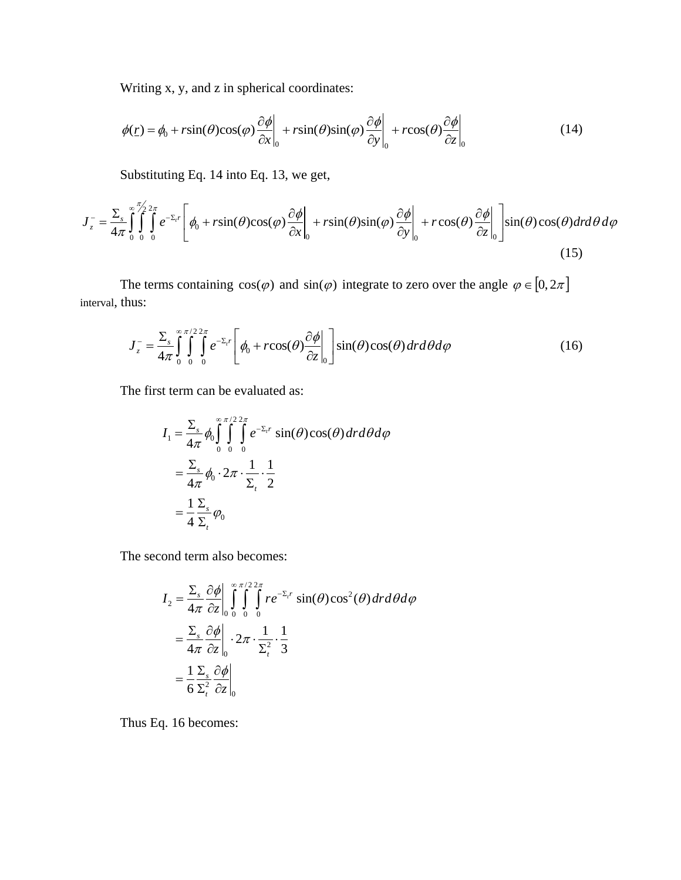Writing x, y, and z in spherical coordinates:  
\n
$$
\phi(\underline{r}) = \phi_0 + r\sin(\theta)\cos(\varphi)\frac{\partial\phi}{\partial x}\Big|_{0} + r\sin(\theta)\sin(\varphi)\frac{\partial\phi}{\partial y}\Big|_{0} + r\cos(\theta)\frac{\partial\phi}{\partial z}\Big|_{0}
$$
\n(14)

Substituting Eq. 14 into Eq. 13, we get,

$$
\phi(\underline{r}) = \phi_0 + r\sin(\theta)\cos(\varphi)\frac{\partial\varphi}{\partial x}\Big|_0 + r\sin(\theta)\sin(\varphi)\frac{\partial\varphi}{\partial y}\Big|_0 + r\cos(\theta)\frac{\partial\varphi}{\partial z}\Big|_0 \tag{14}
$$
\nSubstituting Eq. 14 into Eq. 13, we get,\n
$$
J_z^- = \frac{\sum_s \int_{\alpha}^{\pi/2} \int_{\alpha}^{2\pi} \int_{\alpha}^{\pi/2} e^{-\sum_s r} \left[\phi_0 + r\sin(\theta)\cos(\varphi)\frac{\partial\varphi}{\partial x}\Big|_0 + r\sin(\theta)\sin(\varphi)\frac{\partial\varphi}{\partial y}\Big|_0 + r\cos(\theta)\frac{\partial\varphi}{\partial z}\Big|_0\right] \sin(\theta)\cos(\theta) dr d\theta d\varphi \tag{15}
$$

The terms containing  $cos(\varphi)$  and  $sin(\varphi)$  integrate to zero over the angle  $\varphi \in [0, 2\pi]$ interval, thus:

$$
J_z^{\dagger} = \frac{\sum_s \sigma^{\pi/2} 2\pi}{4\pi \int_0^s \int_0^s \int_0^s e^{-\sum_i r} \left[ \phi_0 + r \cos(\theta) \frac{\partial \phi}{\partial z} \Big|_0^s \right] \sin(\theta) \cos(\theta) dr d\theta d\phi
$$
 (16)

The first term can be evaluated as:

$$
I_1 = \frac{\sum_s}{4\pi} \phi_0 \int_0^{\infty} \int_0^{\pi/2} \int_0^{2\pi} e^{-\sum_t r} \sin(\theta) \cos(\theta) dt d\theta d\varphi
$$
  
=  $\frac{\sum_s}{4\pi} \phi_0 \cdot 2\pi \cdot \frac{1}{\sum_t} \cdot \frac{1}{2}$   
=  $\frac{1}{4} \frac{\sum_s}{\sum_t} \phi_0$ 

The second term also becomes:

$$
I_2 = \frac{\sum_s \partial \phi}{4\pi} \int_0^{\infty} \int_0^{\pi/2} \int_0^{2\pi} r e^{-\sum_i r} \sin(\theta) \cos^2(\theta) dr d\theta d\varphi
$$
  
=  $\frac{\sum_s \partial \phi}{4\pi} \frac{\partial \phi}{\partial z}\Big|_0^{\infty} \cdot 2\pi \cdot \frac{1}{\sum_i^2} \cdot \frac{1}{3}$   
=  $\frac{1}{6} \frac{\sum_s \partial \phi}{\sum_i^2} \frac{\partial \phi}{\partial z}\Big|_0^{\infty}$ 

Thus Eq. 16 becomes: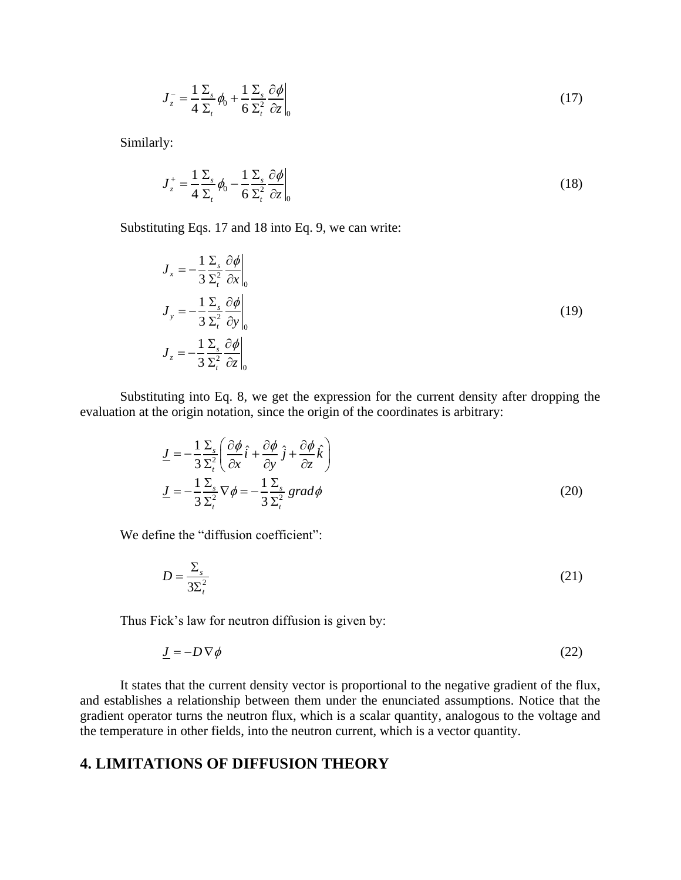$$
J_z^-=\frac{1}{4}\frac{\Sigma_s}{\Sigma_t}\phi_0+\frac{1}{6}\frac{\Sigma_s}{\Sigma_t^2}\frac{\partial\phi}{\partial z}\bigg|_0
$$
\n(17)

Similarly:

$$
J_z^+ = \frac{1}{4} \frac{\Sigma_s}{\Sigma_t} \phi_0 - \frac{1}{6} \frac{\Sigma_s}{\Sigma_t^2} \frac{\partial \phi}{\partial z} \bigg|_0
$$
 (18)

Substituting Eqs. 17 and 18 into Eq. 9, we can write:

$$
J_x = -\frac{1}{3} \frac{\Sigma_s}{\Sigma_t^2} \frac{\partial \phi}{\partial x} \Big|_0
$$
  
\n
$$
J_y = -\frac{1}{3} \frac{\Sigma_s}{\Sigma_t^2} \frac{\partial \phi}{\partial y} \Big|_0
$$
  
\n
$$
J_z = -\frac{1}{3} \frac{\Sigma_s}{\Sigma_t^2} \frac{\partial \phi}{\partial z} \Big|_0
$$
\n(19)

Substituting into Eq. 8, we get the expression for the current density after dropping the evaluation at the origin notation, since the origin of the coordinates is arbitrary:

$$
\underline{J} = -\frac{1}{3} \frac{\Sigma_s}{\Sigma_t^2} \left( \frac{\partial \phi}{\partial x} \hat{i} + \frac{\partial \phi}{\partial y} \hat{j} + \frac{\partial \phi}{\partial z} \hat{k} \right)
$$
  

$$
\underline{J} = -\frac{1}{3} \frac{\Sigma_s}{\Sigma_t^2} \nabla \phi = -\frac{1}{3} \frac{\Sigma_s}{\Sigma_t^2} \operatorname{grad} \phi
$$
 (20)

We define the "diffusion coefficient":

$$
D = \frac{\Sigma_s}{3\Sigma_t^2} \tag{21}
$$

Thus Fick's law for neutron diffusion is given by:

$$
\underline{J} = -D \nabla \phi \tag{22}
$$

It states that the current density vector is proportional to the negative gradient of the flux, and establishes a relationship between them under the enunciated assumptions. Notice that the gradient operator turns the neutron flux, which is a scalar quantity, analogous to the voltage and the temperature in other fields, into the neutron current, which is a vector quantity.

### **4. LIMITATIONS OF DIFFUSION THEORY**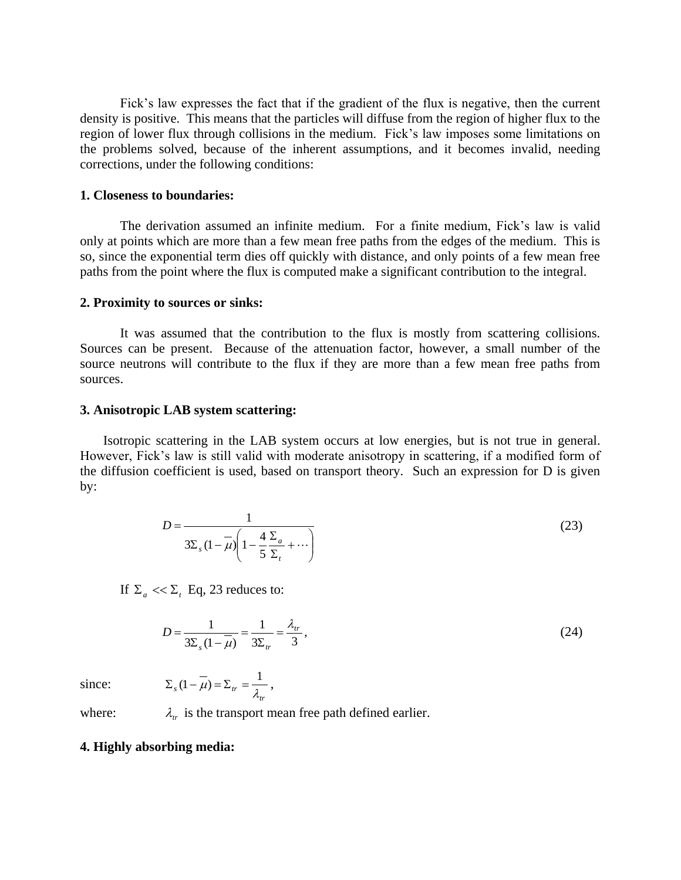Fick's law expresses the fact that if the gradient of the flux is negative, then the current density is positive. This means that the particles will diffuse from the region of higher flux to the region of lower flux through collisions in the medium. Fick's law imposes some limitations on the problems solved, because of the inherent assumptions, and it becomes invalid, needing corrections, under the following conditions:

#### **1. Closeness to boundaries:**

The derivation assumed an infinite medium. For a finite medium, Fick's law is valid only at points which are more than a few mean free paths from the edges of the medium. This is so, since the exponential term dies off quickly with distance, and only points of a few mean free paths from the point where the flux is computed make a significant contribution to the integral.

#### **2. Proximity to sources or sinks:**

It was assumed that the contribution to the flux is mostly from scattering collisions. Sources can be present. Because of the attenuation factor, however, a small number of the source neutrons will contribute to the flux if they are more than a few mean free paths from sources.

#### **3. Anisotropic LAB system scattering:**

Isotropic scattering in the LAB system occurs at low energies, but is not true in general. However, Fick's law is still valid with moderate anisotropy in scattering, if a modified form of the diffusion coefficient is used, based on transport theory. Such an expression for D is given by:

$$
D = \frac{1}{3\Sigma_s (1 - \mu)} \left( 1 - \frac{4}{5} \frac{\Sigma_a}{\Sigma_t} + \cdots \right) \tag{23}
$$

If  $\Sigma_a \ll \Sigma_t$  Eq, 23 reduces to:

$$
D = \frac{1}{3\Sigma_s (1 - \overline{\mu})} = \frac{1}{3\Sigma_{tr}} = \frac{\lambda_{tr}}{3},
$$
\n(24)

since:

$$
\Sigma_s (1 - \overline{\mu}) = \Sigma_{tr} = \frac{1}{\lambda_{tr}},
$$

where:  $\lambda_{tr}$  is the transport mean free path defined earlier.

#### **4. Highly absorbing media:**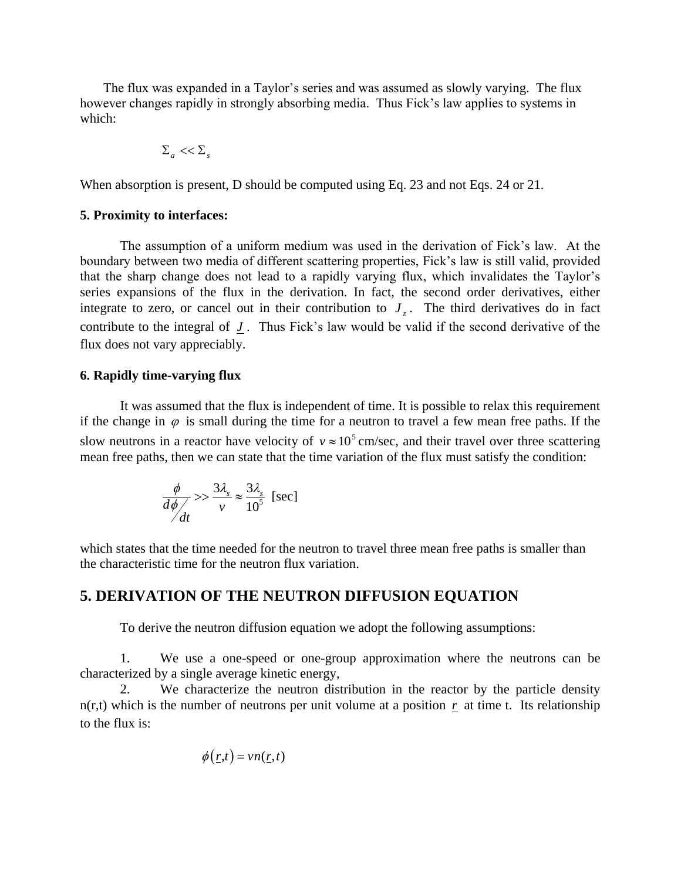The flux was expanded in a Taylor's series and was assumed as slowly varying. The flux however changes rapidly in strongly absorbing media. Thus Fick's law applies to systems in which:

$$
\Sigma_{\scriptscriptstyle a} << \Sigma_{\scriptscriptstyle s}
$$

When absorption is present, D should be computed using Eq. 23 and not Eqs. 24 or 21.

#### **5. Proximity to interfaces:**

The assumption of a uniform medium was used in the derivation of Fick's law. At the boundary between two media of different scattering properties, Fick's law is still valid, provided that the sharp change does not lead to a rapidly varying flux, which invalidates the Taylor's series expansions of the flux in the derivation. In fact, the second order derivatives, either integrate to zero, or cancel out in their contribution to  $J_z$ . The third derivatives do in fact contribute to the integral of  $J$ . Thus Fick's law would be valid if the second derivative of the flux does not vary appreciably.

#### **6. Rapidly time-varying flux**

It was assumed that the flux is independent of time. It is possible to relax this requirement if the change in  $\varphi$  is small during the time for a neutron to travel a few mean free paths. If the slow neutrons in a reactor have velocity of  $v \approx 10^5$  cm/sec, and their travel over three scattering mean free paths, then we can state that the time variation of the flux must satisfy the condition:

$$
\frac{\phi}{d\phi/}
$$
>  $\frac{3\lambda_s}{v} \approx \frac{3\lambda_s}{10^5}$  [sec]

which states that the time needed for the neutron to travel three mean free paths is smaller than the characteristic time for the neutron flux variation.

## **5. DERIVATION OF THE NEUTRON DIFFUSION EQUATION**

To derive the neutron diffusion equation we adopt the following assumptions:

1. We use a one-speed or one-group approximation where the neutrons can be characterized by a single average kinetic energy,

2. We characterize the neutron distribution in the reactor by the particle density  $n(r,t)$  which is the number of neutrons per unit volume at a position  $r$  at time t. Its relationship to the flux is:

$$
\phi(\underline{r},t) = \nu n(\underline{r},t)
$$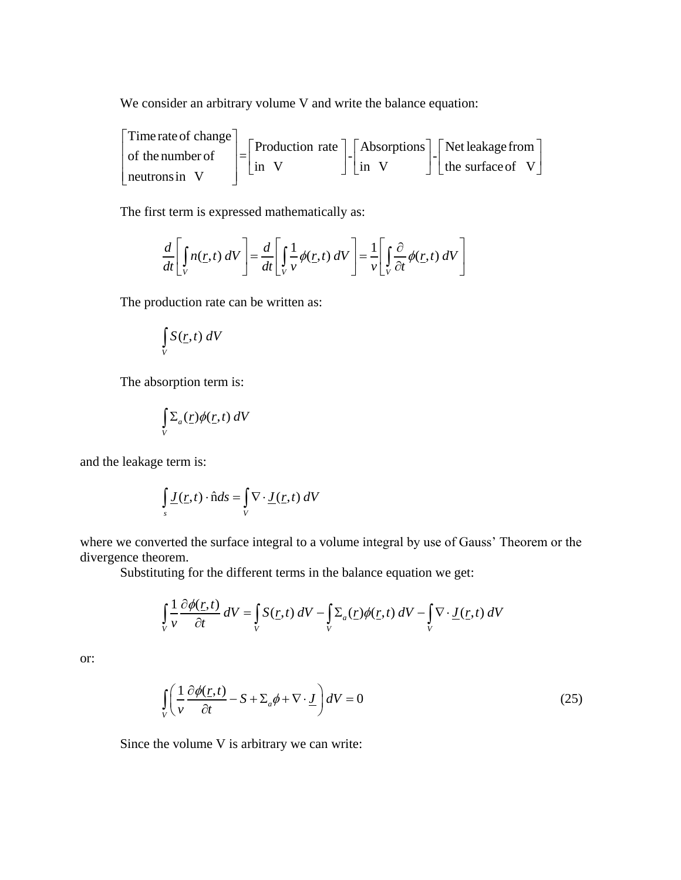We consider an arbitrary volume V and write the balance equation:

Ve consider an arbit<br>Time rate of change volume V and write the balance equation:<br>Production rate  $\begin{bmatrix} - \\ 1 \end{bmatrix}$  Absorptions  $\begin{bmatrix} - \\ 1 \end{bmatrix}$  Net leakage from Time rate of change<br>
of the number of<br>  $\begin{bmatrix} \frac{1}{2} \\ \frac{1}{2} \\ \frac{1}{2} \end{bmatrix}$   $\begin{bmatrix} \frac{1}{2} \\ \frac{1}{2} \\ \frac{1}{2} \end{bmatrix}$   $\begin{bmatrix} \frac{1}{2} \\ \frac{1}{2} \\ \frac{1}{2} \end{bmatrix}$   $\begin{bmatrix} \frac{1}{2} \\ \frac{1}{2} \\ \frac{1}{2} \end{bmatrix}$   $\begin{bmatrix} \frac{1}{2} \\ \frac{1}{2} \\ \frac{1}{2}$ Production rate  $\begin{bmatrix} - \\ 1 \end{bmatrix}$   $\begin{bmatrix}$  Absorptions  $\begin{bmatrix} 0 \\ 1 \end{bmatrix}$   $\begin{bmatrix} 1 \\ 0 \end{bmatrix}$   $\begin{bmatrix} 1 \\ 0 \end{bmatrix}$  the surface of V Time rate of ch<br>of the number<br>neutrons in V We consider an arbitrary volume  $\begin{bmatrix}$ <br> $\begin{bmatrix} \text{Time rate of change} \\ \text{6 d} \end{bmatrix} \begin{bmatrix} \text{Product} \\ \text{6 e} \end{bmatrix}$ We consider an arbitrary volume V and write the balance equation:<br>  $\begin{bmatrix}\n\text{Time rate of change} \\
\text{of the number of}\n\end{bmatrix} = \begin{bmatrix}\n\text{Production rate} \\
\text{in } V\n\end{bmatrix} - \begin{bmatrix}\n\text{Absorptions} \\
\text{in } V\n\end{bmatrix} - \begin{bmatrix}\n\text{Net leakage from} \\
\text{the surface of } V\n\end{bmatrix}$ Time rate of change<br>
of the number of<br>
neutrons in V<br>  $V$ <br>  $=$ <br>  $\begin{bmatrix} \text{Production rate} \\ \text{in} & \text{V} \end{bmatrix}$   $\begin{bmatrix} \text{Absorptions} \\ \text{in} & \text{V} \end{bmatrix}$   $\begin{bmatrix} \text{Net leakage from} \\ \text{the surface of} & \text{V} \end{bmatrix}$ 

The first term is expressed mathematically as:  
\n
$$
\frac{d}{dt} \left[ \int_{V} n(\underline{r}, t) dV \right] = \frac{d}{dt} \left[ \int_{V} \frac{1}{\nu} \phi(\underline{r}, t) dV \right] = \frac{1}{\nu} \left[ \int_{V} \frac{\partial}{\partial t} \phi(\underline{r}, t) dV \right]
$$

The production rate can be written as:

$$
\int\limits_V S(\underline{r},t) \ dV
$$

The absorption term is:

$$
\int\limits_V \Sigma_a(\underline{r}) \phi(\underline{r},t) \, dV
$$

and the leakage term is:

$$
\iint_{s} \underline{J}(\underline{r},t) \cdot \hat{n} ds = \iint_{V} \nabla \cdot \underline{J}(\underline{r},t) dV
$$

where we converted the surface integral to a volume integral by use of Gauss' Theorem or the divergence theorem.

Theorem. Substituting for the different terms in the balance equation we get:  
\n
$$
\int_{V} \frac{1}{v} \frac{\partial \phi(r,t)}{\partial t} dV = \int_{V} S(r,t) dV - \int_{V} \Sigma_{a}(r) \phi(r,t) dV - \int_{V} \nabla \cdot \underline{J}(r,t) dV
$$

or:

$$
\int_{V} \left( \frac{1}{v} \frac{\partial \phi(\underline{r}, t)}{\partial t} - S + \Sigma_a \phi + \nabla \cdot \underline{J} \right) dV = 0
$$
\n(25)

Since the volume V is arbitrary we can write: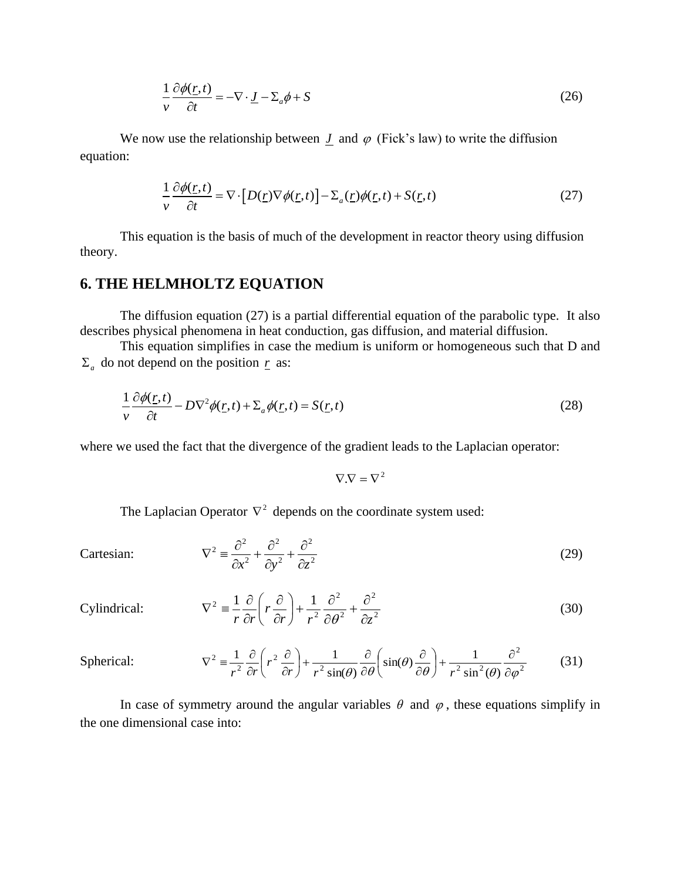$$
\frac{1}{v}\frac{\partial\phi(r,t)}{\partial t} = -\nabla \cdot \underline{J} - \Sigma_a \phi + S \tag{26}
$$

We now use the relationship between  $J$  and  $\varphi$  (Fick's law) to write the diffusion equation:

$$
\frac{1}{v}\frac{\partial\phi(\underline{r},t)}{\partial t} = \nabla \cdot [D(\underline{r})\nabla\phi(\underline{r},t)] - \Sigma_a(\underline{r})\phi(\underline{r},t) + S(\underline{r},t)
$$
\n(27)

This equation is the basis of much of the development in reactor theory using diffusion theory.

## **6. THE HELMHOLTZ EQUATION**

The diffusion equation (27) is a partial differential equation of the parabolic type. It also describes physical phenomena in heat conduction, gas diffusion, and material diffusion.

This equation simplifies in case the medium is uniform or homogeneous such that D and  $\Sigma_a$  do not depend on the position  $\underline{r}$  as:

$$
\frac{1}{v}\frac{\partial\phi(\underline{r},t)}{\partial t} - D\nabla^2\phi(\underline{r},t) + \Sigma_a\phi(\underline{r},t) = S(\underline{r},t)
$$
\n(28)

where we used the fact that the divergence of the gradient leads to the Laplacian operator:

 $\nabla \cdot \nabla = \nabla^2$ 

(29)

The Laplacian Operator  $\nabla^2$  depends on the coordinate system used:

2 2 2 2 2  $2\sqrt{a^2}$  $x^2$   $\partial y^2$   $\partial z$  $+\frac{\partial}{\partial x}$  $\partial$  $+\frac{\partial}{\partial x}$  $\partial$  $\nabla^2 \equiv \frac{\partial}{\partial x^2}$ 

Cylindrical: 
$$
\nabla^2 = \frac{1}{r} \frac{\partial}{\partial r} \left( r \frac{\partial}{\partial r} \right) + \frac{1}{r^2} \frac{\partial^2}{\partial \theta^2} + \frac{\partial^2}{\partial z^2}
$$
(30)

Spherical: 
$$
\nabla^2 = \frac{1}{r^2} \frac{\partial}{\partial r} \left( r^2 \frac{\partial}{\partial r} \right) + \frac{1}{r^2 \sin(\theta)} \frac{\partial}{\partial \theta} \left( \sin(\theta) \frac{\partial}{\partial \theta} \right) + \frac{1}{r^2 \sin^2(\theta)} \frac{\partial^2}{\partial \varphi^2}
$$
(31)

In case of symmetry around the angular variables  $\theta$  and  $\varphi$ , these equations simplify in the one dimensional case into:

Cartesian: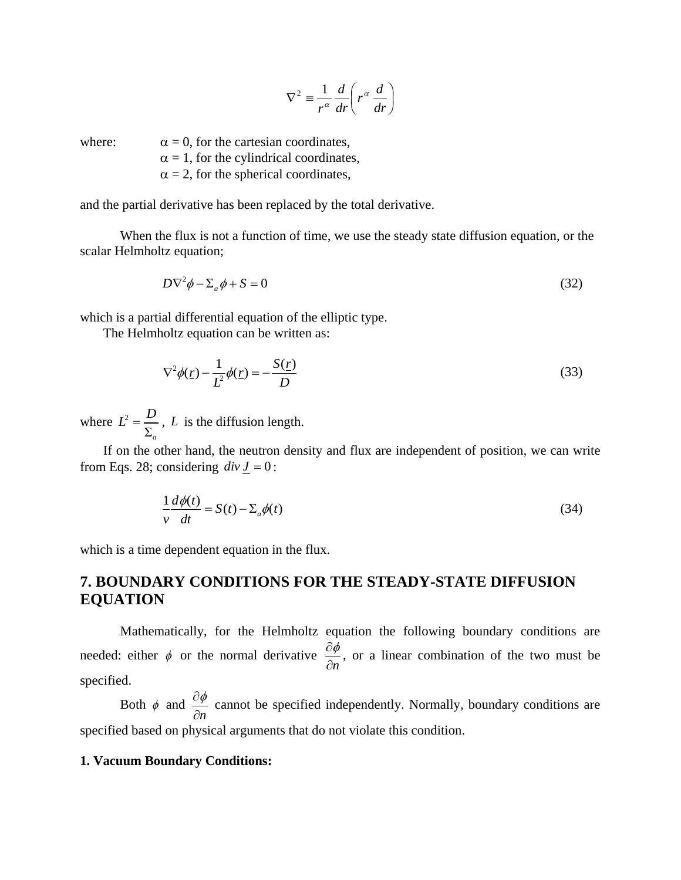$$
\nabla^2 \equiv \frac{1}{r^{\alpha}} \frac{d}{dr} \left( r^{\alpha} \frac{d}{dr} \right)
$$

where:  $\alpha = 0$ , for the cartesian coordinates,

 $\alpha = 1$ , for the cylindrical coordinates,

 $\alpha = 2$ , for the spherical coordinates,

and the partial derivative has been replaced by the total derivative.

When the flux is not a function of time, we use the steady state diffusion equation, or the scalar Helmholtz equation;

$$
D\nabla^2 \phi - \Sigma_a \phi + S = 0 \tag{32}
$$

which is a partial differential equation of the elliptic type.

The Helmholtz equation can be written as:

$$
\nabla^2 \phi(\underline{r}) - \frac{1}{L^2} \phi(\underline{r}) = -\frac{S(\underline{r})}{D}
$$
\n(33)

where  $L^2$ *a*  $L^2 = \frac{D}{\sqrt{D}}$  $\overline{\Sigma}$ , *L* is the diffusion length.

If on the other hand, the neutron density and flux are independent of position, we can write from Eqs. 28; considering  $div J = 0$ :

$$
\frac{1}{v}\frac{d\phi(t)}{dt} = S(t) - \Sigma_a \phi(t)
$$
\n(34)

which is a time dependent equation in the flux.

## **7. BOUNDARY CONDITIONS FOR THE STEADY-STATE DIFFUSION EQUATION**

Mathematically, for the Helmholtz equation the following boundary conditions are needed: either  $\phi$  or the normal derivative *n*  $\partial \phi$  $\partial$ , or a linear combination of the two must be specified.

Both  $\phi$  and *n*  $\partial \phi$  $\partial$ cannot be specified independently. Normally, boundary conditions are specified based on physical arguments that do not violate this condition.

#### **1. Vacuum Boundary Conditions:**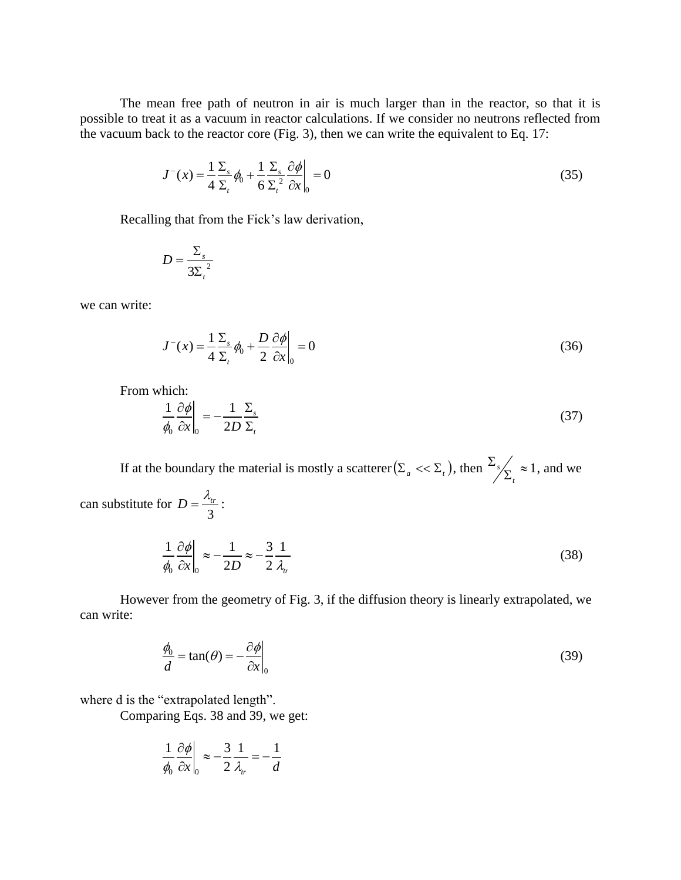The mean free path of neutron in air is much larger than in the reactor, so that it is possible to treat it as a vacuum in reactor calculations. If we consider no neutrons reflected from the vacuum back to the reactor core (Fig. 3), then we can write the equivalent to Eq. 17:

$$
J^{-}(x) = \frac{1}{4} \frac{\Sigma_s}{\Sigma_t} \phi_0 + \frac{1}{6} \frac{\Sigma_s}{\Sigma_t^2} \frac{\partial \phi}{\partial x}\bigg|_0 = 0
$$
\n(35)

Recalling that from the Fick's law derivation,

$$
D = \frac{\Sigma_s}{3\Sigma_t^2}
$$

we can write:

$$
J^{-}(x) = \frac{1}{4} \frac{\Sigma_s}{\Sigma_t} \phi_0 + \frac{D}{2} \frac{\partial \phi}{\partial x}\bigg|_0 = 0
$$
\n(36)

From which:

$$
\frac{1}{\phi_0} \frac{\partial \phi}{\partial x}\bigg|_0 = -\frac{1}{2D} \frac{\Sigma_s}{\Sigma_t} \tag{37}
$$

If at the boundary the material is mostly a scatterer  $(\sum_{a} \ll \sum_{i}$ , then  $\frac{2s}{\sum_{i} \approx 1}$  $\Sigma$ *t*  $s/\sqrt{s} \approx 1$ , and we can substitute for 3  $D=\frac{\lambda_{tr}}{2}$ :  $1 \partial \phi \Big|_{\infty} = 1 \Big|_{\infty} = 3 \cdot 1$  $\frac{1}{|x|_0} \approx -\frac{1}{2D} \approx -\frac{1}{2} \frac{1}{\lambda_{tr}}$  $\phi$  $\overline{\phi_0} \overline{\partial x} \Big|_0 \approx -\overline{2D} \approx -\overline{2} \overline{\lambda}_{tr}$  $\frac{\partial \phi}{\partial z} \approx -\frac{1}{2R} \approx -\frac{3}{2}$  $\partial$ (38)

However from the geometry of Fig. 3, if the diffusion theory is linearly extrapolated, we can write:

$$
\frac{\phi_0}{d} = \tan(\theta) = -\frac{\partial \phi}{\partial x}\Big|_0
$$
\n(39)

where d is the "extrapolated length".

 $_{0}$   $\alpha$   $_{\rm l0}$ 

Comparing Eqs. 38 and 39, we get:

$$
\frac{1}{\phi_0} \frac{\partial \phi}{\partial x}\bigg|_0 \approx -\frac{3}{2} \frac{1}{\lambda_r} = -\frac{1}{d}
$$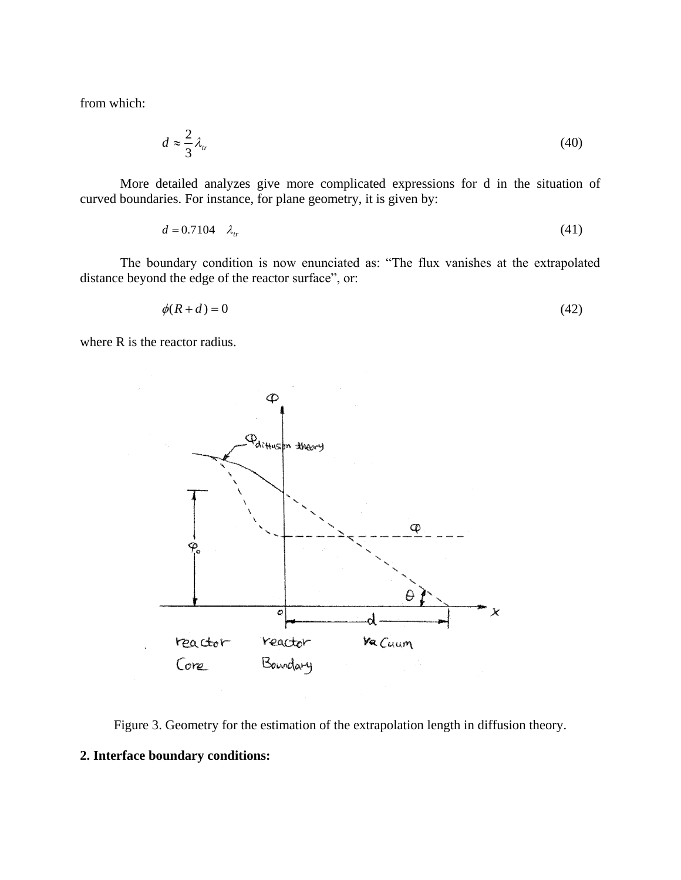from which:

$$
d \approx \frac{2}{3} \lambda_n \tag{40}
$$

More detailed analyzes give more complicated expressions for d in the situation of curved boundaries. For instance, for plane geometry, it is given by:

$$
d = 0.7104 \quad \lambda_{tr} \tag{41}
$$

The boundary condition is now enunciated as: "The flux vanishes at the extrapolated distance beyond the edge of the reactor surface", or:

$$
\phi(R+d) = 0\tag{42}
$$

where R is the reactor radius.



Figure 3. Geometry for the estimation of the extrapolation length in diffusion theory.

### **2. Interface boundary conditions:**